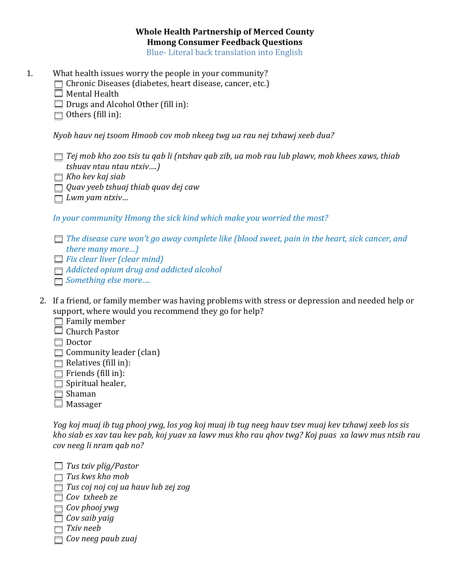## **Whole Health Partnership of Merced County Hmong Consumer Feedback Questions**

Blue- Literal back translation into English

- 1. What health issues worry the people in your community?
	- Chronic Diseases (diabetes, heart disease, cancer, etc.)
		- $\Box$  Mental Health
		- $\Box$  Drugs and Alcohol Other (fill in):
		- $\Box$  Others (fill in):

*Nyob hauv nej tsoom Hmoob cov mob nkeeg twg ua rau nej txhawj xeeb dua?*

- *Tej mob kho zoo tsis tu qab li (ntshav qab zib, ua mob rau lub plawv, mob khees xaws, thiab tshuav ntau ntau ntxiv….)*
- *Kho kev kaj siab*
- *Quav yeeb tshuaj thiab quav dej caw*
- *Lwm yam ntxiv…*

*In your community Hmong the sick kind which make you worried the most?*

- *The disease cure won't go away complete like (blood sweet, pain in the heart, sick cancer, and there many more…)*
- *Fix clear liver (clear mind)*
- *Addicted opium drug and addicted alcohol*
- *Something else more….*
- 2. If a friend, or family member was having problems with stress or depression and needed help or support, where would you recommend they go for help?
	- $\Box$  Family member
	- □ Church Pastor
	- □ Doctor
	- $\Box$  Community leader (clan)
	- $\Box$  Relatives (fill in):
	- $\Box$  Friends (fill in):
	- $\Box$  Spiritual healer,
	- □ Shaman
	- $\Box$  Massager

*Yog koj muaj ib tug phooj ywg, los yog koj muaj ib tug neeg hauv tsev muaj kev txhawj xeeb los sis kho siab es xav tau kev pab, koj yuav xa lawv mus kho rau qhov twg? Koj puas xa lawv mus ntsib rau cov neeg li nram qab no?*

- *Tus txiv plig/Pastor Tus kws kho mob Tus coj noj coj ua hauv lub zej zog Cov txheeb ze Cov phooj ywg Cov saib yaig*
- *Txiv neeb*
- *Cov neeg paub zuaj*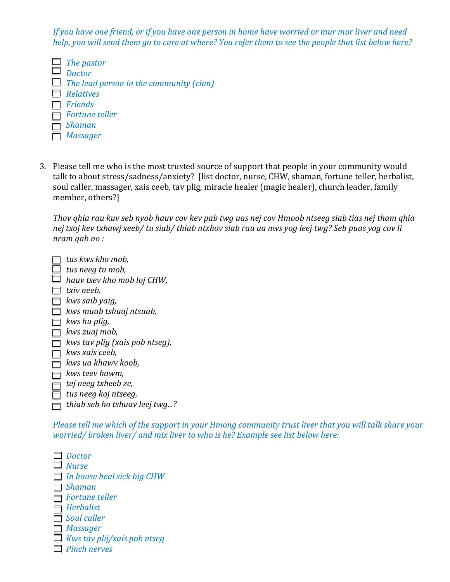*If you have one friend, or if you have one person in home have worried or mur mur liver and need help, you will send them go to cure at where? You refer them to see the people that list below here?*

- *The pastor Doctor The lead person in the community (clan) Relatives Friends Fortune teller Shaman Massager*
- 3. Please tell me who is the most trusted source of support that people in your community would talk to about stress/sadness/anxiety? [list doctor, nurse, CHW, shaman, fortune teller, herbalist, soul caller, massager, xais ceeb, tav plig, miracle healer (magic healer), church leader, family member, others?]

*Thov qhia rau kuv seb nyob hauv cov kev pab twg uas nej cov Hmoob ntseeg siab tias nej tham qhia nej txoj kev txhawj xeeb/ tu siab/ thiab ntxhov siab rau ua nws yog leej twg? Seb puas yog cov li nram qab no :*

| tus kws kho mob,               |
|--------------------------------|
| tus neeg tu mob,               |
| hauv tsev kho mob loj CHW,     |
| txiv neeb,                     |
| kws saib yaig,                 |
| kws muab tshuaj ntsuab,        |
| kws hu plig,                   |
| kws zuaj mob,                  |
| kws tav plig (xais pob ntseg), |
| kws xais ceeb,                 |
| kws ua khawv koob.             |
| kws teev hawm,                 |
| tej neeg txheeb ze,            |
| tus neeg koj ntseeg,           |
| thiab seb ho tshuav leej twg?  |
|                                |

*Please tell me which of the support in your Hmong community trust liver that you will talk share your worried/ broken liver/ and mix liver to who is he? Example see list below here:*

*Doctor Nurse In house heal sick big CHW Shaman Fortune teller Herbalist Soul caller Massager Kws tav plij/xais pob ntseg Pinch nerves*